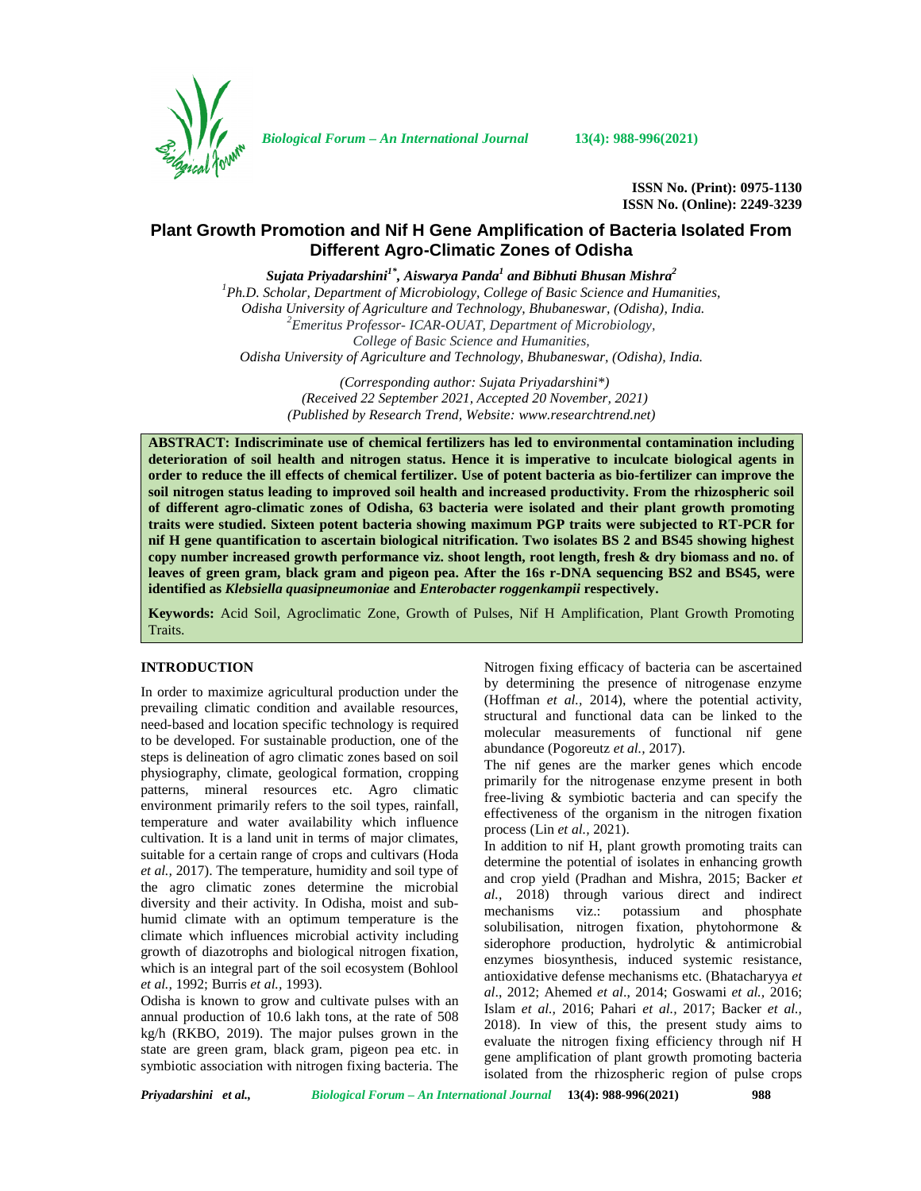

*Biological Forum – An International Journal* **13(4): 988-996(2021)**

**ISSN No. (Print): 0975-1130 ISSN No. (Online): 2249-3239**

# **Plant Growth Promotion and Nif H Gene Amplification of Bacteria Isolated From Different Agro-Climatic Zones of Odisha**

*Sujata Priyadarshini1\*, Aiswarya Panda<sup>1</sup> and Bibhuti Bhusan Mishra<sup>2</sup>*

*<sup>1</sup>Ph.D. Scholar, Department of Microbiology, College of Basic Science and Humanities, Odisha University of Agriculture and Technology, Bhubaneswar, (Odisha), India. <sup>2</sup>Emeritus Professor- ICAR-OUAT, Department of Microbiology, College of Basic Science and Humanities, Odisha University of Agriculture and Technology, Bhubaneswar, (Odisha), India.*

> *(Corresponding author: Sujata Priyadarshini\*) (Received 22 September 2021, Accepted 20 November, 2021) (Published by Research Trend, Website: [www.researchtrend.net\)](www.researchtrend.net)*

**ABSTRACT: Indiscriminate use of chemical fertilizers has led to environmental contamination including deterioration of soil health and nitrogen status. Hence it is imperative to inculcate biological agents in order to reduce the ill effects of chemical fertilizer. Use of potent bacteria as bio-fertilizer can improve the soil nitrogen status leading to improved soil health and increased productivity. From the rhizospheric soil of different agro-climatic zones of Odisha, 63 bacteria were isolated and their plant growth promoting traits were studied. Sixteen potent bacteria showing maximum PGP traits were subjected to RT-PCR for nif H gene quantification to ascertain biological nitrification. Two isolates BS 2 and BS45 showing highest copy number increased growth performance viz. shoot length, root length, fresh & dry biomass and no. of leaves of green gram, black gram and pigeon pea. After the 16s r-DNA sequencing BS2 and BS45, were identified as** *Klebsiella quasipneumoniae* **and** *Enterobacter roggenkampii* **respectively.**

**Keywords:** Acid Soil, Agroclimatic Zone, Growth of Pulses, Nif H Amplification, Plant Growth Promoting Traits.

# **INTRODUCTION**

In order to maximize agricultural production under the prevailing climatic condition and available resources, need-based and location specific technology is required to be developed. For sustainable production, one of the steps is delineation of agro climatic zones based on soil physiography, climate, geological formation, cropping patterns, mineral resources etc. Agro climatic environment primarily refers to the soil types, rainfall, temperature and water availability which influence cultivation. It is a land unit in terms of major climates, suitable for a certain range of crops and cultivars (Hoda *et al.,* 2017). The temperature, humidity and soil type of the agro climatic zones determine the microbial diversity and their activity. In Odisha, moist and sub-<br>mechanisms humid climate with an optimum temperature is the climate which influences microbial activity including growth of diazotrophs and biological nitrogen fixation, which is an integral part of the soil ecosystem (Bohlool *et al.,* 1992; Burris *et al.,* 1993).

Odisha is known to grow and cultivate pulses with an annual production of 10.6 lakh tons, at the rate of 508 kg/h (RKBO, 2019). The major pulses grown in the state are green gram, black gram, pigeon pea etc. in symbiotic association with nitrogen fixing bacteria. The

Nitrogen fixing efficacy of bacteria can be ascertained by determining the presence of nitrogenase enzyme (Hoffman *et al.,* 2014), where the potential activity, structural and functional data can be linked to the molecular measurements of functional nif gene abundance (Pogoreutz *et al.,* 2017).

The nif genes are the marker genes which encode primarily for the nitrogenase enzyme present in both free-living & symbiotic bacteria and can specify the effectiveness of the organism in the nitrogen fixation process (Lin *et al.,* 2021).

In addition to nif H, plant growth promoting traits can determine the potential of isolates in enhancing growth and crop yield (Pradhan and Mishra, 2015; Backer *et al.,* 2018) through various direct and indirect viz.: potassium and phosphate solubilisation, nitrogen fixation, phytohormone & siderophore production, hydrolytic & antimicrobial enzymes biosynthesis, induced systemic resistance, antioxidative defense mechanisms etc. (Bhatacharyya *et al*., 2012; Ahemed *et al*., 2014; Goswami *et al.,* 2016; Islam *et al.,* 2016; Pahari *et al.,* 2017; Backer *et al.,* 2018). In view of this, the present study aims to evaluate the nitrogen fixing efficiency through nif H gene amplification of plant growth promoting bacteria isolated from the rhizospheric region of pulse crops

*Priyadarshini et al., Biological Forum – An International Journal* **13(4): 988-996(2021) 988**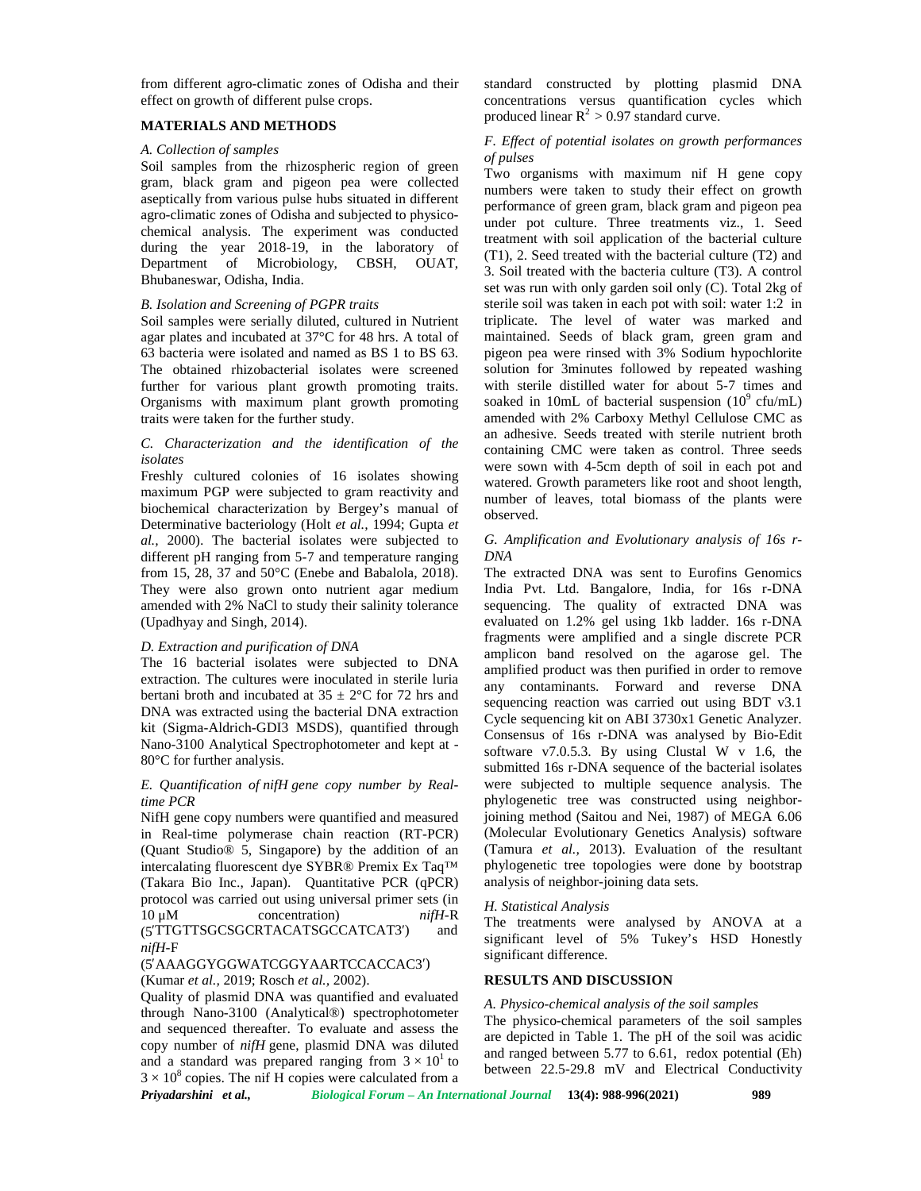from different agro-climatic zones of Odisha and their effect on growth of different pulse crops.

### **MATERIALS AND METHODS**

#### *A. Collection of samples*

Soil samples from the rhizospheric region of green gram, black gram and pigeon pea were collected aseptically from various pulse hubs situated in different agro-climatic zones of Odisha and subjected to physico chemical analysis. The experiment was conducted during the year 2018-19, in the laboratory of Department of Microbiology, CBSH, OUAT, Microbiology, CBSH, OUAT, Bhubaneswar, Odisha, India.

# *B. Isolation and Screening of PGPR traits*

Soil samples were serially diluted, cultured in Nutrient agar plates and incubated at 37°C for 48 hrs. A total of 63 bacteria were isolated and named as BS 1 to BS 63. The obtained rhizobacterial isolates were screened further for various plant growth promoting traits. Organisms with maximum plant growth promoting traits were taken for the further study.

#### *C. Characterization and the identification of the isolates*

Freshly cultured colonies of 16 isolates showing maximum PGP were subjected to gram reactivity and biochemical characterization by Bergey's manual of Determinative bacteriology (Holt *et al.,* 1994; Gupta *et al.,* 2000). The bacterial isolates were subjected to different pH ranging from 5-7 and temperature ranging from 15, 28, 37 and 50°C (Enebe and Babalola, 2018). They were also grown onto nutrient agar medium amended with 2% NaCl to study their salinity tolerance (Upadhyay and Singh, 2014).

#### *D. Extraction and purification of DNA*

The 16 bacterial isolates were subjected to DNA extraction. The cultures were inoculated in sterile luria bertani broth and incubated at  $35 \pm 2$ °C for 72 hrs and DNA was extracted using the bacterial DNA extraction kit (Sigma-Aldrich-GDI3 MSDS), quantified through Nano-3100 Analytical Spectrophotometer and kept at - 80°C for further analysis.

# *E. Quantification of nifH gene copy number by Realtime PCR*

NifH gene copy numbers were quantified and measured in Real-time polymerase chain reaction (RT-PCR) (Quant Studio® 5, Singapore) by the addition of an intercalating fluorescent dye SYBR® Premix Ex Taq™ (Takara Bio Inc., Japan). Quantitative PCR (qPCR) protocol was carried out using universal primer sets (in 10 μM concentration) *nifH-*R (5′TTGTTSGCSGCRTACATSGCCATCAT3′) and *nifH-*F

#### (5 AAAGGYGGWATCGGYAARTCCACCAC3′)

(Kumar *et al.,* 2019; Rosch *et al.,* 2002).

*Priyadarshini et al., Biological Forum – An International Journal* **13(4): 988-996(2021) 989** Quality of plasmid DNA was quantified and evaluated through Nano-3100 (Analytical®) spectrophotometer and sequenced thereafter. To evaluate and assess the copy number of *nifH* gene, plasmid DNA was diluted and a standard was prepared ranging from  $3 \times 10^{1}$  to  $3 \times 10^8$  copies. The nif H copies were calculated from a

standard constructed by plotting plasmid DNA concentrations versus quantification cycles which produced linear  $R^2 > 0.97$  standard curve.

### *F. Effect of potential isolates on growth performances of pulses*

Two organisms with maximum nif H gene copy numbers were taken to study their effect on growth performance of green gram, black gram and pigeon pea under pot culture. Three treatments viz., 1. Seed treatment with soil application of the bacterial culture (T1), 2. Seed treated with the bacterial culture (T2) and 3. Soil treated with the bacteria culture (T3). A control set was run with only garden soil only (C). Total 2kg of sterile soil was taken in each pot with soil: water 1:2 in triplicate. The level of water was marked and maintained. Seeds of black gram, green gram and pigeon pea were rinsed with 3% Sodium hypochlorite solution for 3minutes followed by repeated washing with sterile distilled water for about 5-7 times and soaked in 10mL of bacterial suspension  $(10^9 \text{ cftmL})$ amended with 2% Carboxy Methyl Cellulose CMC as an adhesive. Seeds treated with sterile nutrient broth containing CMC were taken as control. Three seeds were sown with 4-5cm depth of soil in each pot and watered. Growth parameters like root and shoot length, number of leaves, total biomass of the plants were observed.

#### *G. Amplification and Evolutionary analysis of 16s r- DNA*

The extracted DNA was sent to Eurofins Genomics India Pvt. Ltd. Bangalore, India, for 16s r-DNA sequencing. The quality of extracted DNA was evaluated on 1.2% gel using 1kb ladder. 16s r-DNA fragments were amplified and a single discrete PCR amplicon band resolved on the agarose gel. The amplified product was then purified in order to remove any contaminants. Forward and reverse DNA sequencing reaction was carried out using BDT v3.1 Cycle sequencing kit on ABI 3730x1 Genetic Analyzer. Consensus of 16s r-DNA was analysed by Bio-Edit software  $v7.0.5.3$ . By using Clustal W v 1.6, the submitted 16s r-DNA sequence of the bacterial isolates were subjected to multiple sequence analysis. The phylogenetic tree was constructed using neighborjoining method (Saitou and Nei, 1987) of MEGA 6.06 (Molecular Evolutionary Genetics Analysis) software (Tamura *et al.,* 2013). Evaluation of the resultant phylogenetic tree topologies were done by bootstrap analysis of neighbor-joining data sets.

#### *H. Statistical Analysis*

The treatments were analysed by ANOVA at a significant level of 5% Tukey's HSD Honestly significant difference.

### **RESULTS AND DISCUSSION**

to  $\frac{1}{2}$  between 22.5-29.8 mV and Electrical Conductivity *A. Physico-chemical analysis of the soil samples* The physico-chemical parameters of the soil samples are depicted in Table 1. The pH of the soil was acidic and ranged between 5.77 to 6.61, redox potential (Eh)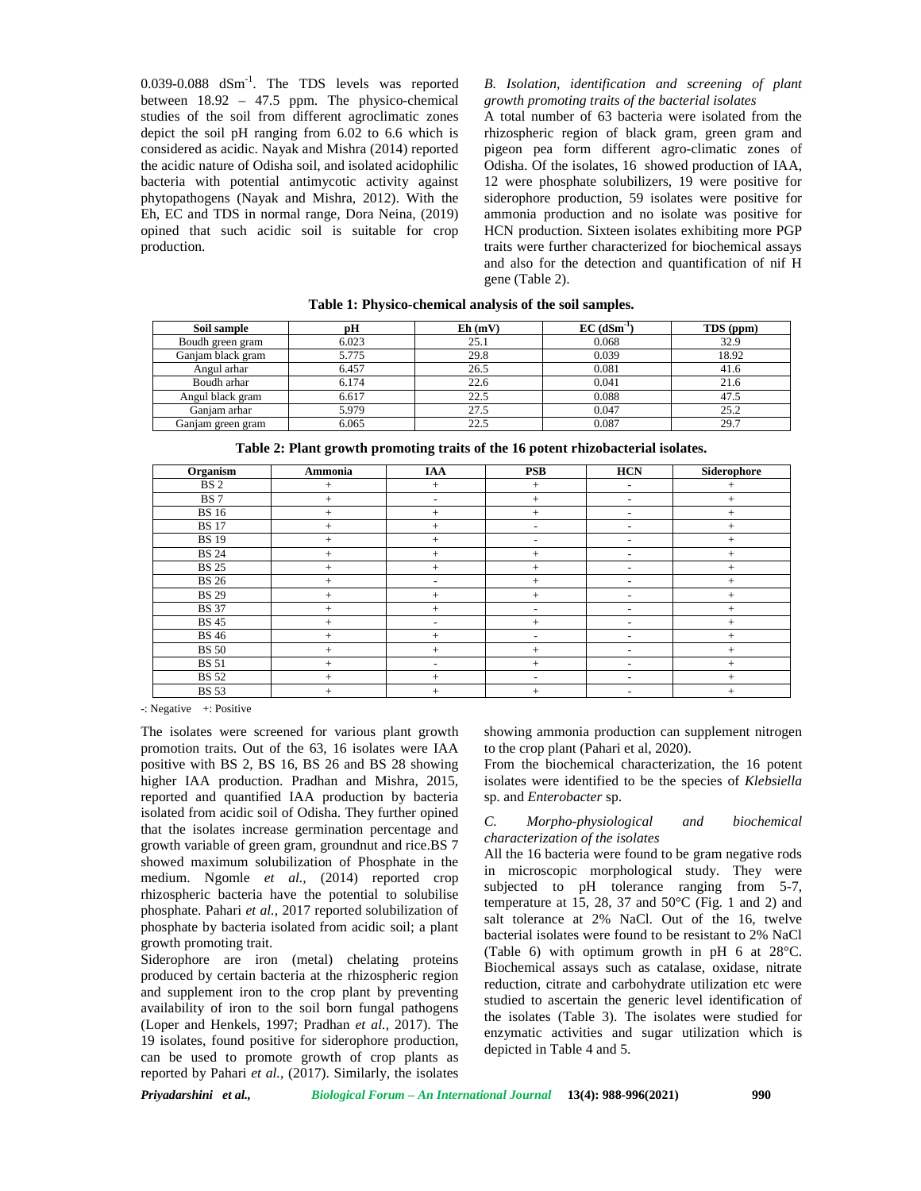0.039-0.088  $dSm^{-1}$ . The TDS levels was reported B. Is between 18.92 – 47.5 ppm. The physico-chemical studies of the soil from different agroclimatic zones depict the soil pH ranging from 6.02 to 6.6 which is considered as acidic. Nayak and Mishra (2014) reported the acidic nature of Odisha soil, and isolated acidophilic bacteria with potential antimycotic activity against phytopathogens (Nayak and Mishra, 2012). With the Eh, EC and TDS in normal range, Dora Neina, (2019) opined that such acidic soil is suitable for crop production.

### *B. Isolation, identification and screening of plant growth promoting traits of the bacterial isolates*

A total number of 63 bacteria were isolated from the rhizospheric region of black gram, green gram and pigeon pea form different agro-climatic zones of Odisha. Of the isolates, 16 showed production of IAA, 12 were phosphate solubilizers, 19 were positive for siderophore production, 59 isolates were positive for ammonia production and no isolate was positive for HCN production. Sixteen isolates exhibiting more PGP traits were further characterized for biochemical assays and also for the detection and quantification of nif H gene (Table 2).

| Soil sample       |       | $Eh$ (mV) | $EC$ (dSm <sup>-1</sup> ) | TDS (ppm) |
|-------------------|-------|-----------|---------------------------|-----------|
| Boudh green gram  | 6.023 | 25.1      | 0.068                     | 32.9      |
| Ganjam black gram | 5.775 | 29.8      | 0.039                     | 18.92     |
| Angul arhar       | 6.457 | 26.5      | 0.081                     | 41.6      |
| Boudh arhar       | 6.174 | 22.6      | 0.041                     | 21.6      |
| Angul black gram  | 6.617 | 22.5      | 0.088                     | 47.5      |
| Ganiam arhar      | 5.979 | 27.5      | 0.047                     | 25.2      |
| Ganjam green gram | 6.065 | 22.5      | 0.087                     | 29.7      |

**Table 1: Physico-chemical analysis of the soil samples.**

**Table 2: Plant growth promoting traits of the 16 potent rhizobacterial isolates.**

| Organism        | Ammonia | <b>IAA</b>               | <b>PSB</b>               | <b>HCN</b>               | Siderophore |
|-----------------|---------|--------------------------|--------------------------|--------------------------|-------------|
| BS <sub>2</sub> | $^{+}$  | $+$                      | $+$                      | $\overline{\phantom{a}}$ | $^{+}$      |
| <b>BS</b> 7     | $^{+}$  | $\overline{\phantom{a}}$ | $+$                      | $\overline{\phantom{a}}$ | $^{+}$      |
| <b>BS</b> 16    | $^{+}$  | $^{+}$                   | $+$                      | $\overline{\phantom{0}}$ | $^{+}$      |
| <b>BS</b> 17    | $^{+}$  | $^{+}$                   | ٠                        | $\overline{\phantom{a}}$ | $^{+}$      |
| <b>BS</b> 19    | $^{+}$  | $^{+}$                   | ٠                        |                          | $^{+}$      |
| <b>BS 24</b>    | $^{+}$  | $^{+}$                   | $+$                      | $\overline{\phantom{0}}$ | $^{+}$      |
| <b>BS 25</b>    | $^{+}$  | $^{+}$                   | $+$                      | $\overline{\phantom{0}}$ | $^{+}$      |
| <b>BS 26</b>    | $^{+}$  | $\overline{\phantom{a}}$ | $+$                      | $\overline{\phantom{a}}$ | $+$         |
| <b>BS 29</b>    | $^{+}$  | $^{+}$                   | $+$                      | $\overline{\phantom{0}}$ | $^{+}$      |
| <b>BS</b> 37    | $^{+}$  | $^{+}$                   | ٠                        |                          | $^{+}$      |
| <b>BS</b> 45    | $^{+}$  | $\overline{\phantom{a}}$ | $+$                      |                          | $^{+}$      |
| <b>BS</b> 46    | $^{+}$  | $^{+}$                   | ٠                        |                          | $^{+}$      |
| <b>BS</b> 50    | $^{+}$  | $^{+}$                   | $+$                      |                          | $^{+}$      |
| <b>BS</b> 51    | $^{+}$  | $\overline{\phantom{a}}$ | $+$                      | $\overline{\phantom{a}}$ | $^{+}$      |
| <b>BS</b> 52    | $^{+}$  | $^{+}$                   | $\overline{\phantom{a}}$ | $\overline{\phantom{0}}$ | $^{+}$      |
| <b>BS</b> 53    | $^{+}$  | $^{+}$                   | $+$                      | $\overline{\phantom{a}}$ | $^{+}$      |

-: Negative +: Positive

The isolates were screened for various plant growth promotion traits. Out of the 63, 16 isolates were IAA positive with BS 2, BS 16, BS 26 and BS 28 showing higher IAA production. Pradhan and Mishra, 2015, reported and quantified IAA production by bacteria isolated from acidic soil of Odisha. They further opined  $C$ . that the isolates increase germination percentage and growth variable of green gram, groundnut and rice.BS 7 showed maximum solubilization of Phosphate in the medium. Ngomle *et al.,* (2014) reported crop rhizospheric bacteria have the potential to solubilise phosphate. Pahari *et al.,* 2017 reported solubilization of phosphate by bacteria isolated from acidic soil; a plant growth promoting trait.

Siderophore are iron (metal) chelating proteins produced by certain bacteria at the rhizospheric region and supplement iron to the crop plant by preventing availability of iron to the soil born fungal pathogens (Loper and Henkels, 1997; Pradhan *et al.,* 2017). The 19 isolates, found positive for siderophore production, can be used to promote growth of crop plants as reported by Pahari *et al.*, (2017). Similarly, the isolates

showing ammonia production can supplement nitrogen to the crop plant (Pahari et al, 2020).

From the biochemical characterization, the 16 potent isolates were identified to be the species of *Klebsiella* sp. and *Enterobacter* sp.

#### *C. Morpho-physiological and biochemical characterization of the isolates*

All the 16 bacteria were found to be gram negative rods in microscopic morphological study. They were subjected to pH tolerance ranging from 5-7, temperature at 15, 28, 37 and  $50^{\circ}$ C (Fig. 1 and 2) and salt tolerance at 2% NaCl. Out of the 16, twelve bacterial isolates were found to be resistant to 2% NaCl (Table 6) with optimum growth in pH 6 at 28°C. Biochemical assays such as catalase, oxidase, nitrate reduction, citrate and carbohydrate utilization etc were studied to ascertain the generic level identification of the isolates (Table 3). The isolates were studied for enzymatic activities and sugar utilization which is depicted in Table 4 and 5.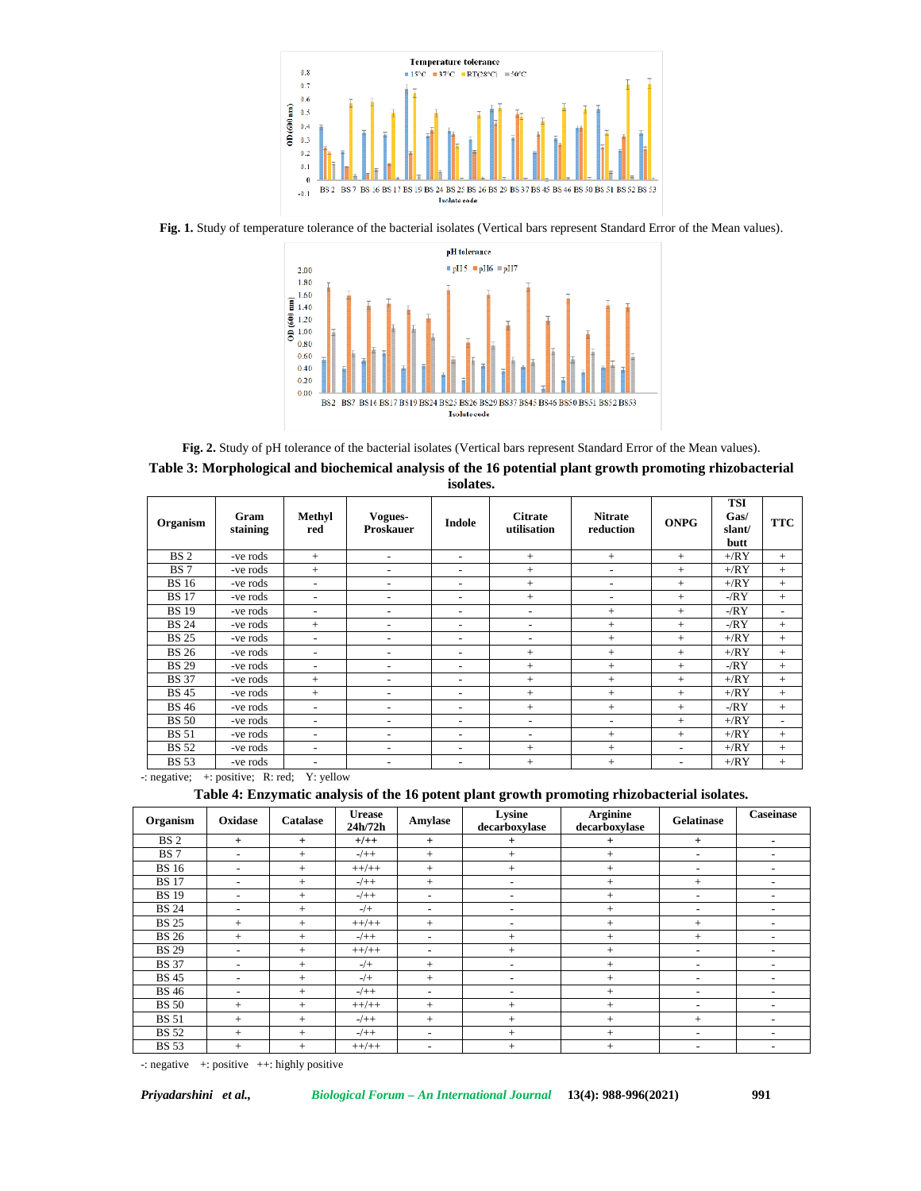

**Fig. 1.** Study of temperature tolerance of the bacterial isolates (Vertical bars represent Standard Error of the Mean values).



**Fig. 2.** Study of pH tolerance of the bacterial isolates (Vertical bars represent Standard Error of the Mean values).

| Table 3: Morphological and biochemical analysis of the 16 potential plant growth promoting rhizobacterial |
|-----------------------------------------------------------------------------------------------------------|
| isolates.                                                                                                 |

| Organism        | Gram<br>staining | Methyl<br>red            | Vogues-<br><b>Proskauer</b> | Indole                   | <b>Citrate</b><br>utilisation | <b>Nitrate</b><br>reduction | <b>ONPG</b>              | <b>TSI</b><br>Gas/<br>slant/<br>butt | <b>TTC</b>               |
|-----------------|------------------|--------------------------|-----------------------------|--------------------------|-------------------------------|-----------------------------|--------------------------|--------------------------------------|--------------------------|
| BS <sub>2</sub> | -ve rods         | $+$                      | $\overline{\phantom{a}}$    | $\overline{\phantom{a}}$ | $^{+}$                        | $^{+}$                      | $^{+}$                   | $+$ / $RY$                           | $^{+}$                   |
| <b>BS</b> 7     | -ve rods         | $+$                      | $\overline{\phantom{a}}$    | $\overline{\phantom{a}}$ | $+$                           | $\overline{\phantom{a}}$    | $^{+}$                   | $+$ / $RY$                           | $^{+}$                   |
| <b>BS</b> 16    | -ve rods         | -                        | $\overline{\phantom{a}}$    | $\overline{\phantom{a}}$ | $+$                           | $\overline{\phantom{a}}$    | $^{+}$                   | $+$ / $RY$                           | $^{+}$                   |
| <b>BS</b> 17    | -ve rods         | $\overline{\phantom{0}}$ | $\overline{\phantom{a}}$    | $\overline{\phantom{a}}$ | $^{+}$                        | $\overline{\phantom{a}}$    | $^{+}$                   | $-RY$                                | $^{+}$                   |
| <b>BS</b> 19    | -ve rods         | ۰                        | $\overline{\phantom{a}}$    | $\overline{\phantom{a}}$ | $\overline{\phantom{a}}$      | $+$                         | $^{+}$                   | $-RY$                                | $\overline{\phantom{0}}$ |
| <b>BS 24</b>    | -ve rods         | $+$                      | ٠                           | $\overline{\phantom{a}}$ | $\overline{\phantom{a}}$      | $^{+}$                      | $^{+}$                   | $-RY$                                | $^{+}$                   |
| <b>BS 25</b>    | -ve rods         | $\overline{\phantom{0}}$ | $\overline{\phantom{0}}$    | $\overline{\phantom{a}}$ | $\overline{\phantom{a}}$      | $^{+}$                      | $^{+}$                   | $+$ / $RY$                           | $^{+}$                   |
| <b>BS 26</b>    | -ve rods         | $\overline{\phantom{0}}$ | $\overline{\phantom{a}}$    | $\overline{\phantom{a}}$ | $^{+}$                        | $^{+}$                      | $^{+}$                   | $+$ / $RY$                           | $^{+}$                   |
| <b>BS 29</b>    | -ve rods         | $\overline{\phantom{a}}$ | $\overline{\phantom{a}}$    | $\overline{\phantom{a}}$ | $^{+}$                        | $+$                         | $^{+}$                   | $-RY$                                | $+$                      |
| <b>BS</b> 37    | -ve rods         | $+$                      | $\overline{\phantom{a}}$    | $\overline{\phantom{a}}$ | $+$                           | $+$                         | $^{+}$                   | $+$ / $RY$                           | $^{+}$                   |
| <b>BS</b> 45    | -ve rods         | $+$                      | $\overline{\phantom{a}}$    | $\overline{\phantom{a}}$ | $^{+}$                        | $^{+}$                      | $^{+}$                   | $+$ / $RY$                           | $+$                      |
| <b>BS</b> 46    | -ve rods         | $\overline{\phantom{0}}$ | $\overline{\phantom{a}}$    | $\overline{\phantom{a}}$ | $^{+}$                        | $+$                         | $^{+}$                   | $-RY$                                | $+$                      |
| <b>BS</b> 50    | -ve rods         | $\overline{\phantom{0}}$ | $\overline{\phantom{a}}$    | $\overline{\phantom{a}}$ | $\overline{\phantom{a}}$      | $\overline{\phantom{a}}$    | $^{+}$                   | $+$ / $RY$                           | $\overline{\phantom{0}}$ |
| <b>BS</b> 51    | -ve rods         | $\overline{\phantom{0}}$ | $\overline{\phantom{0}}$    | $\overline{\phantom{a}}$ | $\overline{\phantom{a}}$      | $^{+}$                      | $^{+}$                   | $+$ / $RY$                           | $^{+}$                   |
| <b>BS</b> 52    | -ve rods         | $\overline{\phantom{0}}$ | $\overline{\phantom{a}}$    | $\overline{\phantom{a}}$ | $^{+}$                        | $^{+}$                      | $\overline{\phantom{0}}$ | $+$ / $RY$                           | $^{+}$                   |
| <b>BS</b> 53    | -ve rods         | $\overline{\phantom{a}}$ | $\overline{\phantom{a}}$    | $\overline{\phantom{a}}$ | $^{+}$                        | $+$                         | $\overline{\phantom{a}}$ | $+$ / $RY$                           | $^{+}$                   |

-: negative; +: positive; R: red; Y: yellow

**Table 4: Enzymatic analysis of the 16 potent plant growth promoting rhizobacterial isolates.**

| Organism        | Oxidase                  | Catalase | <b>Urease</b><br>24h/72h | Amylase                  | Lysine<br>decarboxylase  | <b>Arginine</b><br>decarboxylase | Gelatinase               | <b>Caseinase</b>         |
|-----------------|--------------------------|----------|--------------------------|--------------------------|--------------------------|----------------------------------|--------------------------|--------------------------|
| BS <sub>2</sub> | $^{+}$                   | $+$      | $+/-+$                   | $+$                      | $+$                      | $+$                              | $+$                      | ۰                        |
| <b>BS</b> 7     | $\overline{\phantom{0}}$ | $+$      | $-/+ +$                  | $^{+}$                   | $+$                      | $+$                              | $\overline{\phantom{a}}$ | $\overline{\phantom{0}}$ |
| <b>BS</b> 16    | $\overline{\phantom{a}}$ | $+$      | $++/++$                  | $^{+}$                   | $^{+}$                   | $^{+}$                           | $\overline{\phantom{a}}$ | $\overline{\phantom{0}}$ |
| <b>BS</b> 17    | $\overline{\phantom{0}}$ | $+$      | $-/++$                   | $+$                      | $\overline{\phantom{a}}$ | $^{+}$                           | $^{+}$                   | $\overline{\phantom{a}}$ |
| <b>BS</b> 19    | $\overline{\phantom{a}}$ | $+$      | $-/+ +$                  | $\overline{\phantom{0}}$ | $\overline{\phantom{a}}$ | $^{+}$                           | $\overline{\phantom{a}}$ | $\overline{\phantom{0}}$ |
| <b>BS</b> 24    | $\overline{\phantom{a}}$ | $+$      | $-/+$                    | $\overline{\phantom{0}}$ | $\overline{\phantom{a}}$ | $^{+}$                           | $\overline{\phantom{a}}$ | $\overline{\phantom{0}}$ |
| <b>BS 25</b>    | $+$                      | $+$      | $++/++$                  | $+$                      | $\overline{\phantom{a}}$ | $^{+}$                           | $^{+}$                   | $\overline{\phantom{0}}$ |
| <b>BS</b> 26    | $+$                      | $+$      | $-/+ +$                  | $\overline{\phantom{a}}$ | $^{+}$                   | $+$                              | $+$                      | $\overline{\phantom{0}}$ |
| <b>BS 29</b>    | $\overline{\phantom{a}}$ | $+$      | $++/++$                  | $\overline{\phantom{a}}$ | $^{+}$                   | $+$                              | $\overline{\phantom{a}}$ | $\overline{\phantom{0}}$ |
| <b>BS</b> 37    | $\overline{\phantom{a}}$ | $+$      | $-/+$                    | $+$                      | $\overline{\phantom{a}}$ | $+$                              | $\overline{\phantom{a}}$ | $\overline{\phantom{0}}$ |
| <b>BS</b> 45    | $\overline{\phantom{a}}$ | $+$      | $-/+$                    | $+$                      | $\overline{\phantom{a}}$ | $^{+}$                           | $\overline{\phantom{a}}$ | $\overline{\phantom{0}}$ |
| <b>BS</b> 46    | ٠                        | $+$      | $-/+ +$                  | ٠                        | $\overline{\phantom{a}}$ | $^{+}$                           | $\overline{\phantom{a}}$ | $\overline{\phantom{0}}$ |
| <b>BS</b> 50    | $^{+}$                   | $+$      | $++/++$                  | $+$                      | $^{+}$                   | $^{+}$                           | $\overline{\phantom{a}}$ | $\overline{\phantom{0}}$ |
| <b>BS</b> 51    | $^{+}$                   | $+$      | $-/+ +$                  | $^{+}$                   | $^{+}$                   | $^{+}$                           | $+$                      | $\overline{\phantom{0}}$ |
| <b>BS</b> 52    | $+$                      | $+$      | $-/++$                   | $\overline{\phantom{a}}$ | $^{+}$                   | $^{+}$                           | $\overline{\phantom{a}}$ | -                        |
| <b>BS</b> 53    | $^{+}$                   | $+$      | $++/++$                  | $\overline{\phantom{0}}$ | $^{+}$                   | $+$                              | $\overline{\phantom{a}}$ | $\overline{\phantom{0}}$ |

-: negative +: positive ++: highly positive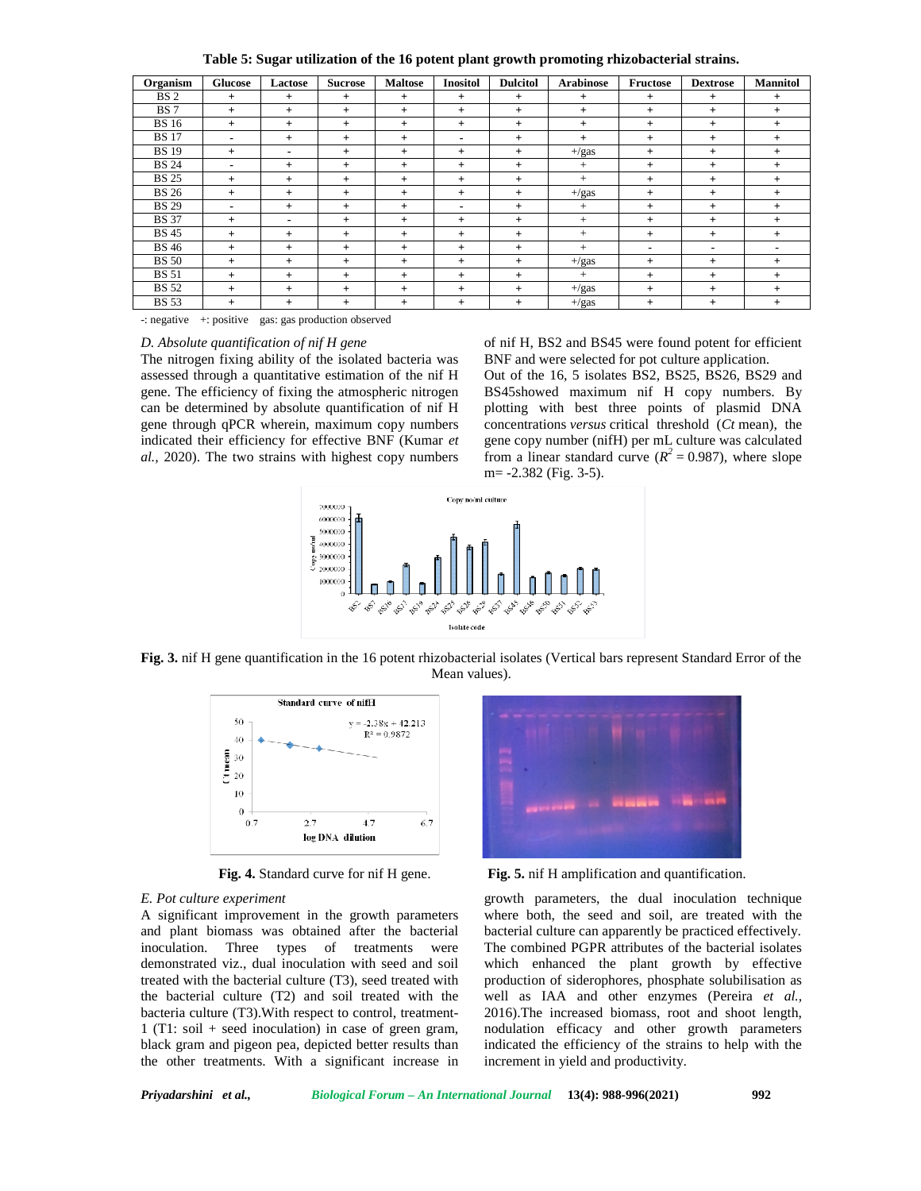| Table 5: Sugar utilization of the 16 potent plant growth promoting rhizobacterial strains. |  |  |
|--------------------------------------------------------------------------------------------|--|--|
|                                                                                            |  |  |

| Organism        | <b>Glucose</b> | Lactose | <b>Sucrose</b> | <b>Maltose</b> | <b>Inositol</b>          | <b>Dulcitol</b> | <b>Arabinose</b> | Fructose | <b>Dextrose</b>          | <b>Mannitol</b> |
|-----------------|----------------|---------|----------------|----------------|--------------------------|-----------------|------------------|----------|--------------------------|-----------------|
| BS <sub>2</sub> | $+$            | $^{+}$  | $+$            | $^{+}$         | $+$                      | $+$             | $+$              | $+$      | $+$                      | $+$             |
| BS <sub>7</sub> | $+$            | $+$     | $+$            | $^{+}$         | $+$                      | $+$             | $+$              | $+$      | $+$                      | $+$             |
| <b>BS</b> 16    | $+$            | $+$     | $+$            | $^{+}$         | $+$                      | $+$             | $+$              | $+$      | $+$                      | $+$             |
| <b>BS</b> 17    | $\blacksquare$ | $+$     | $+$            | $^{+}$         | $\overline{\phantom{0}}$ | $+$             | $+$              | $+$      | $+$                      | $+$             |
| <b>BS</b> 19    | $^{+}$         |         | $+$            | $^{+}$         | $^{+}$                   | $+$             | $+/gas$          | $^{+}$   | $+$                      | $+$             |
| <b>BS 24</b>    | $\blacksquare$ | $+$     | $+$            | $^{+}$         | $+$                      | $+$             | $^{+}$           | $^{+}$   | $+$                      | $+$             |
| <b>BS 25</b>    | $+$            | $+$     | $+$            | $^{+}$         | $+$                      | $+$             | $+$              | $+$      | $+$                      | $+$             |
| <b>BS 26</b>    | $^{+}$         | $+$     | $+$            | $^{+}$         | $+$                      | $+$             | $+/gas$          | $+$      | $+$                      | $+$             |
| <b>BS 29</b>    | ٠              | $+$     | $+$            | $^{+}$         | ۰                        | $+$             | $^{+}$           | $+$      | $+$                      | $+$             |
| <b>BS</b> 37    | $+$            |         | $+$            | $^{+}$         | $+$                      | $+$             | $+$              | $^{+}$   | $+$                      | $+$             |
| <b>BS 45</b>    | $^{+}$         | $^{+}$  | $+$            | $^{+}$         | $+$                      | $+$             | $^{+}$           | $+$      | $+$                      | $+$             |
| <b>BS</b> 46    | $+$            | $+$     | $+$            | $^{+}$         | $+$                      | $+$             | $+$              |          | $\overline{\phantom{a}}$ |                 |
| <b>BS</b> 50    | $^{+}$         | $+$     | $+$            | $^{+}$         | $+$                      | $+$             | $+/gas$          | $+$      | $+$                      | $+$             |
| <b>BS</b> 51    | $+$            | $+$     | $+$            | $^{+}$         | $+$                      | $+$             | $+$              | $+$      | $+$                      | $+$             |
| <b>BS</b> 52    | $^{+}$         | $^{+}$  | $+$            | $^{+}$         | $+$                      | $+$             | $+/gas$          | $+$      | $+$                      | $+$             |
| <b>BS</b> 53    | $^{+}$         | $+$     | $+$            | $^{+}$         | $+$                      | $+$             | $+/gas$          | $^{+}$   | $+$                      | $+$             |

-: negative +: positive gas: gas production observed

### *D. Absolute quantification of nif H gene*

The nitrogen fixing ability of the isolated bacteria was assessed through a quantitative estimation of the nif H gene. The efficiency of fixing the atmospheric nitrogen can be determined by absolute quantification of nif H gene through qPCR wherein, maximum copy numbers indicated their efficiency for effective BNF (Kumar *et al.,* 2020). The two strains with highest copy numbers of nif H, BS2 and BS45 were found potent for efficient BNF and were selected for pot culture application.

Out of the 16, 5 isolates BS2, BS25, BS26, BS29 and BS45showed maximum nif H copy numbers. By plotting with best three points of plasmid DNA concentrations *versus* critical threshold (*Ct* mean), the gene copy number (nifH) per mL culture was calculated from a linear standard curve ( $R^2 = 0.987$ ), where slope m= -2.382 (Fig. 3-5).



**Fig. 3.** nif H gene quantification in the 16 potent rhizobacterial isolates (Vertical bars represent Standard Error of the Mean values).



#### *E. Pot culture experiment*

A significant improvement in the growth parameters and plant biomass was obtained after the bacterial inoculation. Three types of treatments were demonstrated viz., dual inoculation with seed and soil treated with the bacterial culture (T3), seed treated with the bacterial culture (T2) and soil treated with the bacteria culture (T3).With respect to control, treatment- 1 (T1: soil + seed inoculation) in case of green gram, black gram and pigeon pea, depicted better results than the other treatments. With a significant increase in



**Fig. 4.** Standard curve for nif H gene. **Fig. 5.** nif H amplification and quantification.

growth parameters, the dual inoculation technique where both, the seed and soil, are treated with the bacterial culture can apparently be practiced effectively. The combined PGPR attributes of the bacterial isolates which enhanced the plant growth by effective production of siderophores, phosphate solubilisation as well as IAA and other enzymes (Pereira *et al.,* 2016).The increased biomass, root and shoot length, nodulation efficacy and other growth parameters indicated the efficiency of the strains to help with the increment in yield and productivity.

| Privadarshini et al |  | Biological Forum – An International Journal 13(4): 988-996(2021) |  | 992 |
|---------------------|--|------------------------------------------------------------------|--|-----|
|---------------------|--|------------------------------------------------------------------|--|-----|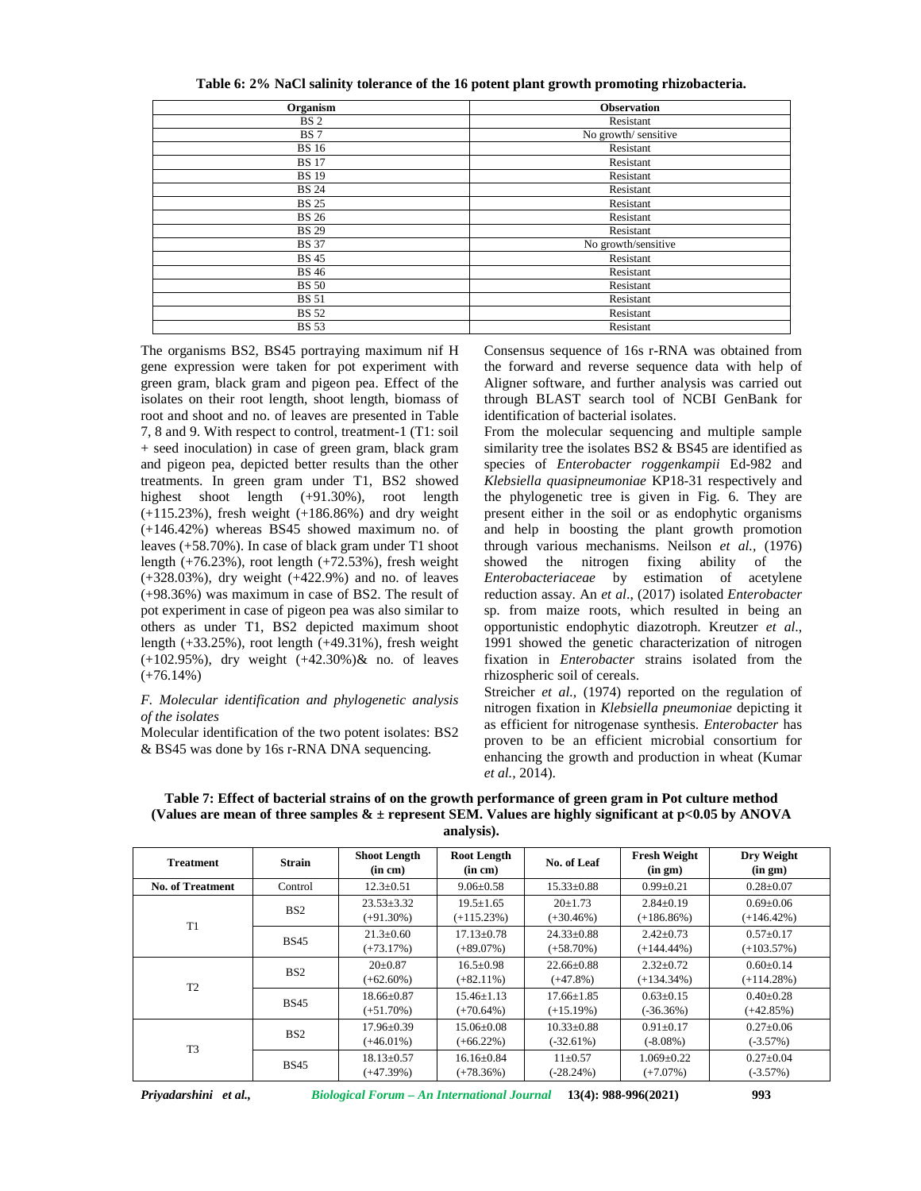| Organism        | <b>Observation</b>   |
|-----------------|----------------------|
| BS <sub>2</sub> | Resistant            |
| <b>BS</b> 7     | No growth/ sensitive |
| <b>BS</b> 16    | Resistant            |
| <b>BS</b> 17    | Resistant            |
| <b>BS</b> 19    | Resistant            |
| <b>BS 24</b>    | Resistant            |
| <b>BS 25</b>    | Resistant            |
| <b>BS 26</b>    | Resistant            |
| <b>BS 29</b>    | Resistant            |
| <b>BS</b> 37    | No growth/sensitive  |
| <b>BS</b> 45    | Resistant            |
| <b>BS</b> 46    | Resistant            |
| <b>BS</b> 50    | Resistant            |
| <b>BS</b> 51    | Resistant            |
| <b>BS</b> 52    | Resistant            |
| <b>BS</b> 53    | Resistant            |

**Table 6: 2% NaCl salinity tolerance of the 16 potent plant growth promoting rhizobacteria.**

The organisms BS2, BS45 portraying maximum nif H gene expression were taken for pot experiment with green gram, black gram and pigeon pea. Effect of the isolates on their root length, shoot length, biomass of root and shoot and no. of leaves are presented in Table 7, 8 and 9. With respect to control, treatment-1 (T1: soil + seed inoculation) in case of green gram, black gram and pigeon pea, depicted better results than the other treatments. In green gram under T1, BS2 showed highest shoot length (+91.30%), root length (+115.23%), fresh weight (+186.86%) and dry weight (+146.42%) whereas BS45 showed maximum no. of leaves (+58.70%). In case of black gram under T1 shoot length (+76.23%), root length (+72.53%), fresh weight (+328.03%), dry weight (+422.9%) and no. of leaves (+98.36%) was maximum in case of BS2. The result of pot experiment in case of pigeon pea was also similar to others as under T1, BS2 depicted maximum shoot length (+33.25%), root length (+49.31%), fresh weight (+102.95%), dry weight (+42.30%)& no. of leaves  $(+76.14\%)$ 

### *F. Molecular identification and phylogenetic analysis of the isolates*

Molecular identification of the two potent isolates: BS2 & BS45 was done by 16s r-RNA DNA sequencing.

Consensus sequence of 16s r-RNA was obtained from the forward and reverse sequence data with help of Aligner software, and further analysis was carried out through BLAST search tool of NCBI GenBank for identification of bacterial isolates.

From the molecular sequencing and multiple sample similarity tree the isolates BS2 & BS45 are identified as species of *Enterobacter roggenkampii* Ed-982 and *Klebsiella quasipneumoniae* KP18-31 respectively and the phylogenetic tree is given in Fig. 6. They are present either in the soil or as endophytic organisms and help in boosting the plant growth promotion through various mechanisms. Neilson *et al.,* (1976) showed the nitrogen fixing ability of the *Enterobacteriaceae* by estimation of acetylene reduction assay. An *et al*., (2017) isolated *Enterobacter* sp. from maize roots, which resulted in being an opportunistic endophytic diazotroph. Kreutzer *et al*., 1991 showed the genetic characterization of nitrogen fixation in *Enterobacter* strains isolated from the rhizospheric soil of cereals.

Streicher *et al.*, (1974) reported on the regulation of nitrogen fixation in *Klebsiella pneumoniae* depicting it as efficient for nitrogenase synthesis. *Enterobacter* has proven to be an efficient microbial consortium for enhancing the growth and production in wheat (Kumar *et al.,* 2014).

| <b>Treatment</b>        | <b>Strain</b>   | <b>Shoot Length</b><br>(in cm)   | <b>Root Length</b><br>(in cm)    | No. of Leaf                      | <b>Fresh Weight</b><br>(in gm)   | Dry Weight<br>(in gm)            |
|-------------------------|-----------------|----------------------------------|----------------------------------|----------------------------------|----------------------------------|----------------------------------|
| <b>No. of Treatment</b> | Control         | $12.3 \pm 0.51$                  | $9.06 \pm 0.58$                  | $15.33 \pm 0.88$                 | $0.99 \pm 0.21$                  | $0.28 \pm 0.07$                  |
| T1                      | BS <sub>2</sub> | $23.53 \pm 3.32$<br>$(+91.30\%)$ | $19.5 \pm 1.65$<br>$(+115.23%)$  | $20+1.73$<br>$(+30.46%)$         | $2.84 \pm 0.19$<br>$(+186.86\%)$ | $0.69 \pm 0.06$<br>$(+146.42\%)$ |
|                         | <b>BS45</b>     | $21.3 \pm 0.60$<br>$(+73.17%)$   | $17.13 \pm 0.78$<br>$(+89.07\%)$ | $24.33 \pm 0.88$<br>$(+58.70\%)$ | $2.42 \pm 0.73$<br>$(+144.44\%)$ | $0.57 \pm 0.17$<br>$(+103.57%)$  |
| T <sub>2</sub>          | BS <sub>2</sub> | $20 \pm 0.87$<br>$(+62.60\%)$    | $16.5 \pm 0.98$<br>$(+82.11\%)$  | $22.66 \pm 0.88$<br>$(+47.8\%)$  | $2.32 \pm 0.72$<br>$(+134.34\%)$ | $0.60 \pm 0.14$<br>$(+114.28\%)$ |
|                         | <b>BS45</b>     | $18.66 \pm 0.87$<br>$(+51.70\%)$ | $15.46 \pm 1.13$<br>$(+70.64\%)$ | $17.66 \pm 1.85$<br>$(+15.19%)$  | $0.63+0.15$<br>$(-36.36%)$       | $0.40 \pm 0.28$<br>$(+42.85%)$   |
| T <sub>3</sub>          | BS <sub>2</sub> | $17.96 \pm 0.39$<br>$(+46.01\%)$ | $15.06 \pm 0.08$<br>$(+66.22\%)$ | $10.33 \pm 0.88$<br>$(-32.61\%)$ | $0.91 \pm 0.17$<br>$(-8.08\%)$   | $0.27 \pm 0.06$<br>$(-3.57%)$    |
|                         | <b>BS45</b>     | $18.13 \pm 0.57$<br>$(+47.39%)$  | $16.16 \pm 0.84$<br>$(+78.36%)$  | $11 \pm 0.57$<br>$(-28.24%)$     | $1.069 + 0.22$<br>$(+7.07%)$     | $0.27 \pm 0.04$<br>$(-3.57%)$    |

**Table 7: Effect of bacterial strains of on the growth performance of green gram in Pot culture method (Values are mean of three samples & ± represent SEM. Values are highly significant at p<0.05 by ANOVA analysis).**

*Priyadarshini et al., Biological Forum – An International Journal* **13(4): 988-996(2021) 993**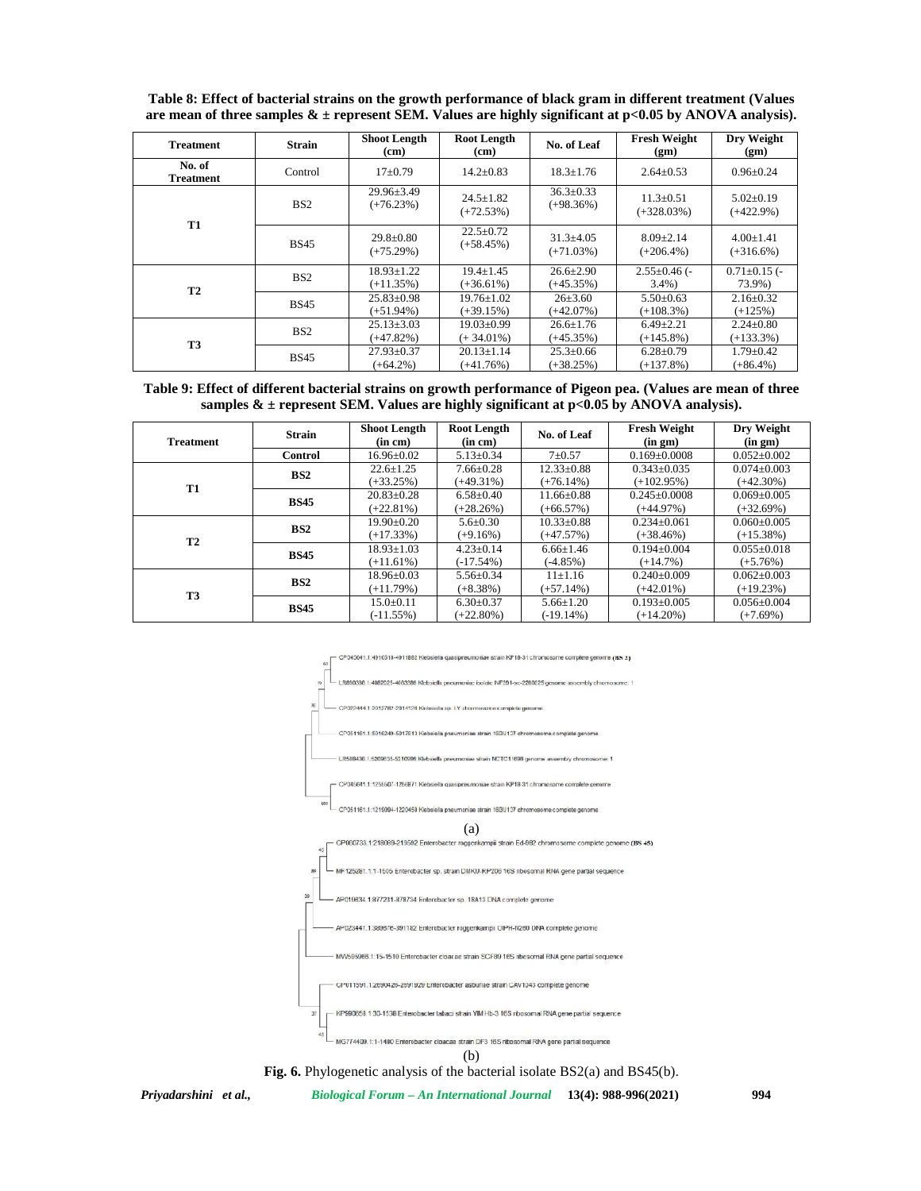| <b>Treatment</b>           | <b>Strain</b>   | <b>Shoot Length</b><br>(cm)      | <b>Root Length</b><br>(cm)       | No. of Leaf                     | <b>Fresh Weight</b><br>(gm)      | Dry Weight<br>(gm)              |
|----------------------------|-----------------|----------------------------------|----------------------------------|---------------------------------|----------------------------------|---------------------------------|
| No. of<br><b>Treatment</b> | Control         | $17+0.79$                        | $14.2 \pm 0.83$                  | $18.3 \pm 1.76$                 | $2.64 \pm 0.53$                  | $0.96 \pm 0.24$                 |
|                            | BS <sub>2</sub> | $29.96 \pm 3.49$<br>$(+76.23%)$  | $24.5 \pm 1.82$<br>$(+72.53%)$   | $36.3 \pm 0.33$<br>$(+98.36%)$  | $11.3 \pm 0.51$<br>$(+328.03\%)$ | $5.02 \pm 0.19$<br>$(+422.9\%)$ |
| <b>T1</b>                  | <b>BS45</b>     | $29.8 \pm 0.80$<br>$(+75.29\%)$  | $22.5 \pm 0.72$<br>$(+58.45%)$   | $31.3 \pm 4.05$<br>$(+71.03\%)$ | $8.09 \pm 2.14$<br>$(+206.4\%)$  | $4.00 \pm 1.41$<br>$(+316.6%)$  |
| <b>T2</b>                  | BS <sub>2</sub> | $18.93 \pm 1.22$<br>$(+11.35%)$  | $19.4 \pm 1.45$<br>$(+36.61\%)$  | $26.6 \pm 2.90$<br>$(+45.35%)$  | $2.55 \pm 0.46$ (-<br>$3.4\%$ )  | $0.71 \pm 0.15$ (-<br>73.9%)    |
|                            | <b>BS45</b>     | $25.83 \pm 0.98$<br>$(+51.94\%)$ | $19.76 \pm 1.02$<br>$(+39.15%)$  | $26 \pm 3.60$<br>$(+42.07\%)$   | $5.50 \pm 0.63$<br>$(+108.3\%)$  | $2.16 \pm 0.32$<br>$(+125%)$    |
| T <sub>3</sub>             | BS <sub>2</sub> | $25.13 \pm 3.03$<br>$(+47.82%)$  | $19.03 \pm 0.99$<br>$(+34.01\%)$ | $26.6 \pm 1.76$<br>$(+45.35%)$  | $6.49 \pm 2.21$<br>$(+145.8\%)$  | $2.24 \pm 0.80$<br>$(+133.3\%)$ |
|                            | <b>BS45</b>     | $27.93 \pm 0.37$<br>$(+64.2\%)$  | $20.13 \pm 1.14$<br>$(+41.76%)$  | $25.3 \pm 0.66$<br>$(+38.25%)$  | $6.28 \pm 0.79$<br>$(+137.8%)$   | $1.79 \pm 0.42$<br>$(+86.4\%)$  |

**Table 8: Effect of bacterial strains on the growth performance of black gram in different treatment (Values are mean of three samples & ± represent SEM. Values are highly significant at p<0.05 by ANOVA analysis).**

**Table 9: Effect of different bacterial strains on growth performance of Pigeon pea. (Values are mean of three** samples  $\&$  ± represent SEM. Values are highly significant at p<0.05 by ANOVA analysis).

| <b>Treatment</b> | <b>Strain</b>  | <b>Shoot Length</b><br>(in cm) | <b>Root Length</b><br>(in cm) | No. of Leaf      | <b>Fresh Weight</b><br>(in gm) | Dry Weight<br>(in gm) |
|------------------|----------------|--------------------------------|-------------------------------|------------------|--------------------------------|-----------------------|
|                  | <b>Control</b> | $16.96 \pm 0.02$               | $5.13 \pm 0.34$               | $7 + 0.57$       | $0.169 \pm 0.0008$             | $0.052 \pm 0.002$     |
|                  | BS2            | $22.6 \pm 1.25$                | $7.66 \pm 0.28$               | $12.33 \pm 0.88$ | $0.343 + 0.035$                | $0.074 + 0.003$       |
| <b>T1</b>        |                | $(+33.25%)$                    | $(+49.31\%)$                  | $(+76.14\%)$     | $(+102.95%)$                   | $(+42.30\%)$          |
|                  | <b>BS45</b>    | $20.83 \pm 0.28$               | $6.58 \pm 0.40$               | $11.66 \pm 0.88$ | $0.245 \pm 0.0008$             | $0.069 \pm 0.005$     |
|                  |                | $(+22.81\%)$                   | $(+28.26%)$                   | $(+66.57%)$      | $(+44.97\%)$                   | $(+32.69\%)$          |
|                  | BS2            | $19.90 \pm 0.20$               | $5.6 \pm 0.30$                | $10.33 \pm 0.88$ | $0.234 \pm 0.061$              | $0.060 \pm 0.005$     |
| <b>T2</b>        |                | $(+17.33%)$                    | $(+9.16%)$                    | $(+47.57%)$      | $(+38.46%)$                    | $(+15.38\%)$          |
|                  | <b>BS45</b>    | $18.93 \pm 1.03$               | $4.23 \pm 0.14$               | $6.66 \pm 1.46$  | $0.194 \pm 0.004$              | $0.055 \pm 0.018$     |
|                  |                | $(+11.61\%)$                   | $(-17.54\%)$                  | $(-4.85%)$       | $(+14.7\%)$                    | $(+5.76%)$            |
|                  |                | $18.96 \pm 0.03$               | $5.56 \pm 0.34$               | $11+1.16$        | $0.240 + 0.009$                | $0.062 + 0.003$       |
| T3               | BS2            | $(+11.79%)$                    | $(+8.38\%)$                   | $(+57.14\%)$     | $(+42.01\%)$                   | $(+19.23%)$           |
|                  | <b>BS45</b>    | $15.0 \pm 0.11$                | $6.30\pm0.37$                 | $5.66 \pm 1.20$  | $0.193 \pm 0.005$              | $0.056 \pm 0.004$     |
|                  |                | $(-11.55%)$                    | $(+22.80\%)$                  | $(-19.14%)$      | $(+14.20\%)$                   | $(+7.69\%)$           |



*Priyadarshini et al., Biological Forum – An International Journal* **13(4): 988-996(2021) 994**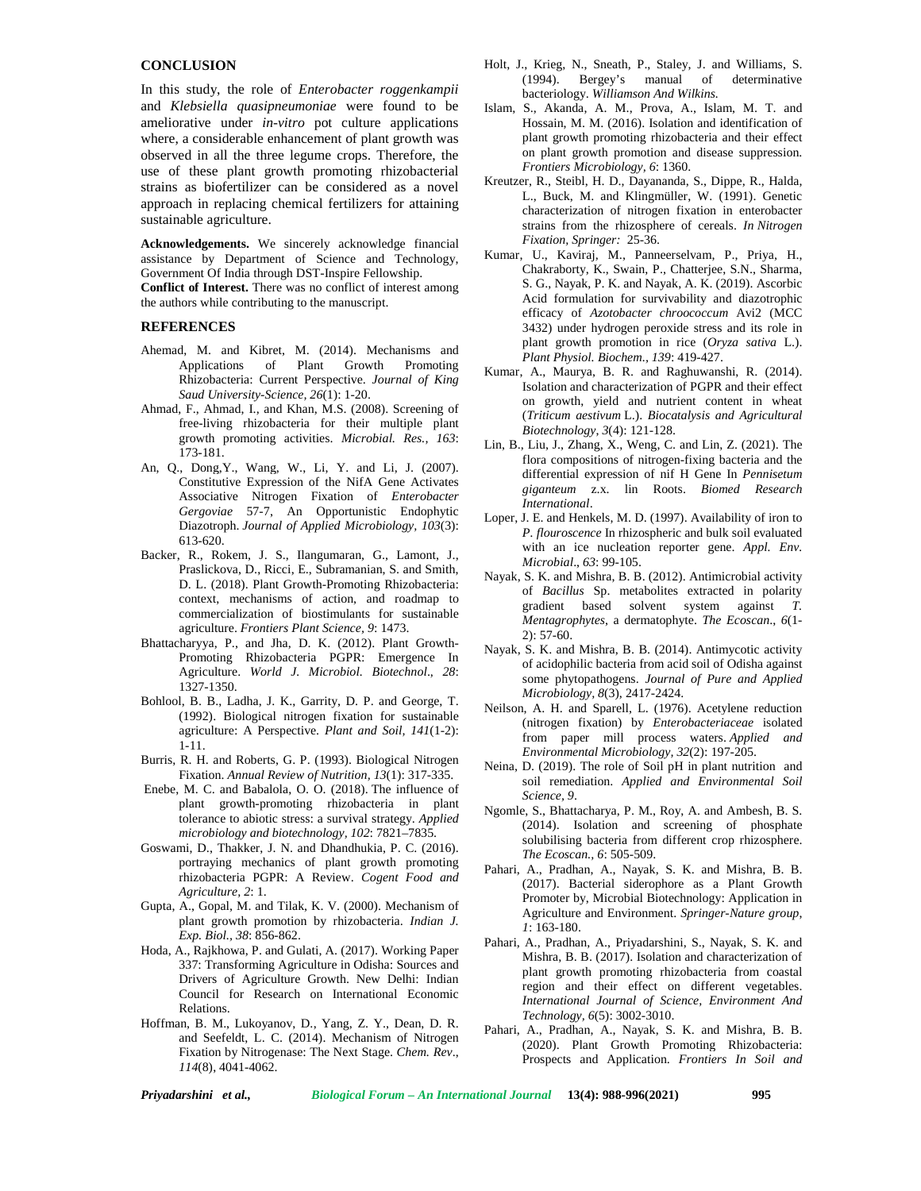# **CONCLUSION**

In this study, the role of *Enterobacter roggenkampii* and *Klebsiella quasipneumoniae* were found to be ameliorative under *in-vitro* pot culture applications where, a considerable enhancement of plant growth was observed in all the three legume crops. Therefore, the use of these plant growth promoting rhizobacterial strains as biofertilizer can be considered as a novel approach in replacing chemical fertilizers for attaining sustainable agriculture.

**Acknowledgements.** We sincerely acknowledge financial assistance by Department of Science and Technology, Government Of India through DST-Inspire Fellowship.

**Conflict of Interest.** There was no conflict of interest among the authors while contributing to the manuscript.

# **REFERENCES**

- Ahemad, M. and Kibret, M. (2014). Mechanisms and Applications of Plant Growth Promoting Rhizobacteria: Current Perspective. *Journal of King Saud University-Science, 26*(1): 1-20.
- Ahmad, F., Ahmad, I., and Khan, M.S. (2008). Screening of free-living rhizobacteria for their multiple plant growth promoting activities. *Microbial. Res., 163*: 173-181.
- An, Q., Dong,Y., Wang, W., Li, Y. and Li, J. (2007). Constitutive Expression of the NifA Gene Activates Associative Nitrogen Fixation of *Enterobacter Gergoviae* 57-7, An Opportunistic Endophytic Diazotroph. *Journal of Applied Microbiology, 103*(3): 613-620.
- Backer, R., Rokem, J. S., Ilangumaran, G., Lamont, J., Praslickova, D., Ricci, E., Subramanian, S. and Smith, D. L. (2018). Plant Growth-Promoting Rhizobacteria: context, mechanisms of action, and roadmap to commercialization of biostimulants for sustainable agriculture. *Frontiers Plant Science, 9*: 1473.
- Bhattacharyya, P., and Jha, D. K. (2012). Plant Growth- Promoting Rhizobacteria PGPR: Emergence In Agriculture. *World J. Microbiol. Biotechnol*., *28*: 1327-1350.
- Bohlool, B. B., Ladha, J. K., Garrity, D. P. and George, T. (1992). Biological nitrogen fixation for sustainable agriculture: A Perspective. *Plant and Soil, 141*(1-2): 1-11.
- Burris, R. H. and Roberts, G. P. (1993). Biological Nitrogen Fixation. *Annual Review of Nutrition, 13*(1): 317-335.
- Enebe, M. C. and Babalola, O. O. (2018). The influence of plant growth-promoting rhizobacteria in plant tolerance to abiotic stress: a survival strategy. *Applied microbiology and biotechnology, 102*: 7821–7835.
- Goswami, D., Thakker, J. N. and Dhandhukia, P. C. (2016). portraying mechanics of plant growth promoting rhizobacteria PGPR: A Review. *Cogent Food and Agriculture, 2*: 1.
- Gupta, A., Gopal, M. and Tilak, K. V. (2000). Mechanism of plant growth promotion by rhizobacteria. *Indian J. Exp. Biol., 38*: 856-862.
- Hoda, A., Rajkhowa, P. and Gulati, A. (2017). Working Paper 337: Transforming Agriculture in Odisha: Sources and Drivers of Agriculture Growth. New Delhi: Indian Council for Research on International Economic Relations.
- Hoffman, B. M., Lukoyanov, D., Yang, Z. Y., Dean, D. R. and Seefeldt, L. C. (2014). Mechanism of Nitrogen Fixation by Nitrogenase: The Next Stage. *Chem. Rev*., *114*(8), 4041-4062.
- Holt, J., Krieg, N., Sneath, P., Staley, J. and Williams, S. (1994). Bergey's manual of determinative bacteriology. *Williamson And Wilkins.*
- Islam, S., Akanda, A. M., Prova, A., Islam, M. T. and Hossain, M. M. (2016). Isolation and identification of plant growth promoting rhizobacteria and their effect on plant growth promotion and disease suppression. *Frontiers Microbiology, 6*: 1360.
- Kreutzer, R., Steibl, H. D., Dayananda, S., Dippe, R., Halda, L., Buck, M. and Klingmüller, W. (1991). Genetic characterization of nitrogen fixation in enterobacter strains from the rhizosphere of cereals. *In Nitrogen Fixation, Springer:* 25-36.
- Kumar, U., Kaviraj, M., Panneerselvam, P., Priya, H., Chakraborty, K., Swain, P., Chatterjee, S.N., Sharma, S. G., Nayak, P. K. and Nayak, A. K. (2019). Ascorbic Acid formulation for survivability and diazotrophic efficacy of *Azotobacter chroococcum* Avi2 (MCC 3432) under hydrogen peroxide stress and its role in plant growth promotion in rice (*Oryza sativa* L.). *Plant Physiol. Biochem., 139*: 419-427.
- Kumar, A., Maurya, B. R. and Raghuwanshi, R. (2014). Isolation and characterization of PGPR and their effect on growth, yield and nutrient content in wheat (*Triticum aestivum* L.). *Biocatalysis and Agricultural Biotechnology*, *3*(4): 121-128.
- Lin, B., Liu, J., Zhang, X., Weng, C. and Lin, Z. (2021). The flora compositions of nitrogen-fixing bacteria and the differential expression of nif H Gene In *Pennisetum giganteum* z.x. lin Roots. *Biomed Research International*.
- Loper, J. E. and Henkels, M. D. (1997). Availability of iron to *P. flouroscence* In rhizospheric and bulk soil evaluated with an ice nucleation reporter gene. *Appl. Env. Microbial*., *63*: 99-105.
- Nayak, S. K. and Mishra, B. B. (2012). Antimicrobial activity of *Bacillus* Sp. metabolites extracted in polarity gradient based solvent system against *T. Mentagrophytes*, a dermatophyte. *The Ecoscan*., *6*(1- 2): 57-60.
- Nayak, S. K. and Mishra, B. B. (2014). Antimycotic activity of acidophilic bacteria from acid soil of Odisha against some phytopathogens. *Journal of Pure and Applied Microbiology, 8*(3), 2417-2424.
- Neilson, A. H. and Sparell, L. (1976). Acetylene reduction (nitrogen fixation) by *Enterobacteriaceae* isolated from paper mill process waters. *Applied and Environmental Microbiology, 32*(2): 197-205.
- Neina, D. (2019). The role of Soil pH in plant nutrition and soil remediation. *Applied and Environmental Soil Science, 9*.
- Ngomle, S., Bhattacharya, P. M., Roy, A. and Ambesh, B. S. (2014). Isolation and screening of phosphate solubilising bacteria from different crop rhizosphere. *The Ecoscan., 6*: 505-509.
- Pahari, A., Pradhan, A., Nayak, S. K. and Mishra, B. B. (2017). Bacterial siderophore as a Plant Growth Promoter by, Microbial Biotechnology: Application in Agriculture and Environment. *Springer-Nature group*, *1*: 163-180.
- Pahari, A., Pradhan, A., Priyadarshini, S., Nayak, S. K. and Mishra, B. B. (2017). Isolation and characterization of plant growth promoting rhizobacteria from coastal region and their effect on different vegetables. *International Journal of Science, Environment And Technology, 6*(5): 3002-3010.
- Pahari, A., Pradhan, A., Nayak, S. K. and Mishra, B. B. (2020). Plant Growth Promoting Rhizobacteria: Prospects and Application. *Frontiers In Soil and*